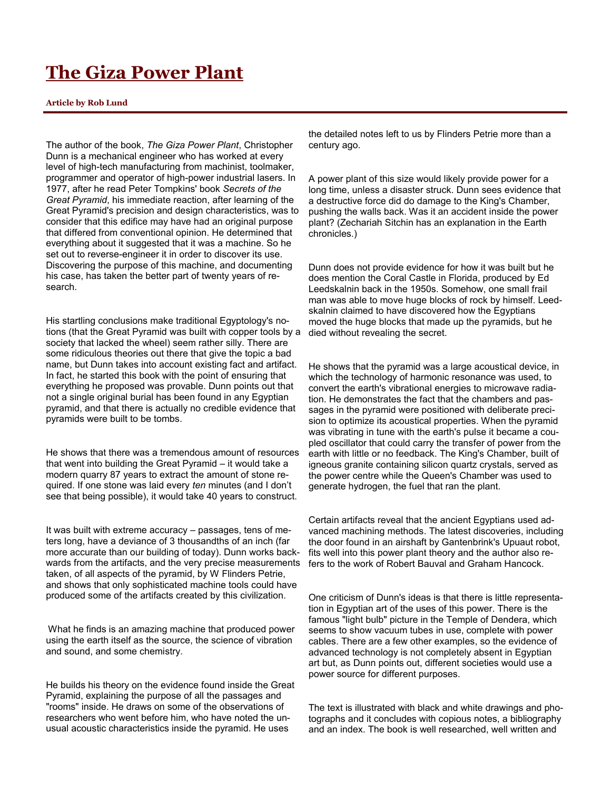## **The Giza Power Plant**

## **Article by Rob Lund**

The author of the book, *The Giza Power Plant*, Christopher Dunn is a mechanical engineer who has worked at every level of high-tech manufacturing from machinist, toolmaker, programmer and operator of high-power industrial lasers. In 1977, after he read Peter Tompkins' book *Secrets of the Great Pyramid*, his immediate reaction, after learning of the Great Pyramid's precision and design characteristics, was to consider that this edifice may have had an original purpose that differed from conventional opinion. He determined that everything about it suggested that it was a machine. So he set out to reverse-engineer it in order to discover its use. Discovering the purpose of this machine, and documenting his case, has taken the better part of twenty years of research.

His startling conclusions make traditional Egyptology's notions (that the Great Pyramid was built with copper tools by a society that lacked the wheel) seem rather silly. There are some ridiculous theories out there that give the topic a bad name, but Dunn takes into account existing fact and artifact. In fact, he started this book with the point of ensuring that everything he proposed was provable. Dunn points out that not a single original burial has been found in any Egyptian pyramid, and that there is actually no credible evidence that pyramids were built to be tombs.

He shows that there was a tremendous amount of resources that went into building the Great Pyramid – it would take a modern quarry 87 years to extract the amount of stone required. If one stone was laid every *ten* minutes (and I don't see that being possible), it would take 40 years to construct.

It was built with extreme accuracy – passages, tens of meters long, have a deviance of 3 thousandths of an inch (far more accurate than our building of today). Dunn works backwards from the artifacts, and the very precise measurements taken, of all aspects of the pyramid, by W Flinders Petrie, and shows that only sophisticated machine tools could have produced some of the artifacts created by this civilization.

What he finds is an amazing machine that produced power using the earth itself as the source, the science of vibration and sound, and some chemistry.

He builds his theory on the evidence found inside the Great Pyramid, explaining the purpose of all the passages and "rooms" inside. He draws on some of the observations of researchers who went before him, who have noted the unusual acoustic characteristics inside the pyramid. He uses

the detailed notes left to us by Flinders Petrie more than a century ago.

A power plant of this size would likely provide power for a long time, unless a disaster struck. Dunn sees evidence that a destructive force did do damage to the King's Chamber, pushing the walls back. Was it an accident inside the power plant? (Zechariah Sitchin has an explanation in the Earth chronicles.)

Dunn does not provide evidence for how it was built but he does mention the Coral Castle in Florida, produced by Ed Leedskalnin back in the 1950s. Somehow, one small frail man was able to move huge blocks of rock by himself. Leedskalnin claimed to have discovered how the Egyptians moved the huge blocks that made up the pyramids, but he died without revealing the secret.

He shows that the pyramid was a large acoustical device, in which the technology of harmonic resonance was used, to convert the earth's vibrational energies to microwave radiation. He demonstrates the fact that the chambers and passages in the pyramid were positioned with deliberate precision to optimize its acoustical properties. When the pyramid was vibrating in tune with the earth's pulse it became a coupled oscillator that could carry the transfer of power from the earth with little or no feedback. The King's Chamber, built of igneous granite containing silicon quartz crystals, served as the power centre while the Queen's Chamber was used to generate hydrogen, the fuel that ran the plant.

Certain artifacts reveal that the ancient Egyptians used advanced machining methods. The latest discoveries, including the door found in an airshaft by Gantenbrink's Upuaut robot, fits well into this power plant theory and the author also refers to the work of Robert Bauval and Graham Hancock.

One criticism of Dunn's ideas is that there is little representation in Egyptian art of the uses of this power. There is the famous "light bulb" picture in the Temple of Dendera, which seems to show vacuum tubes in use, complete with power cables. There are a few other examples, so the evidence of advanced technology is not completely absent in Egyptian art but, as Dunn points out, different societies would use a power source for different purposes.

The text is illustrated with black and white drawings and photographs and it concludes with copious notes, a bibliography and an index. The book is well researched, well written and